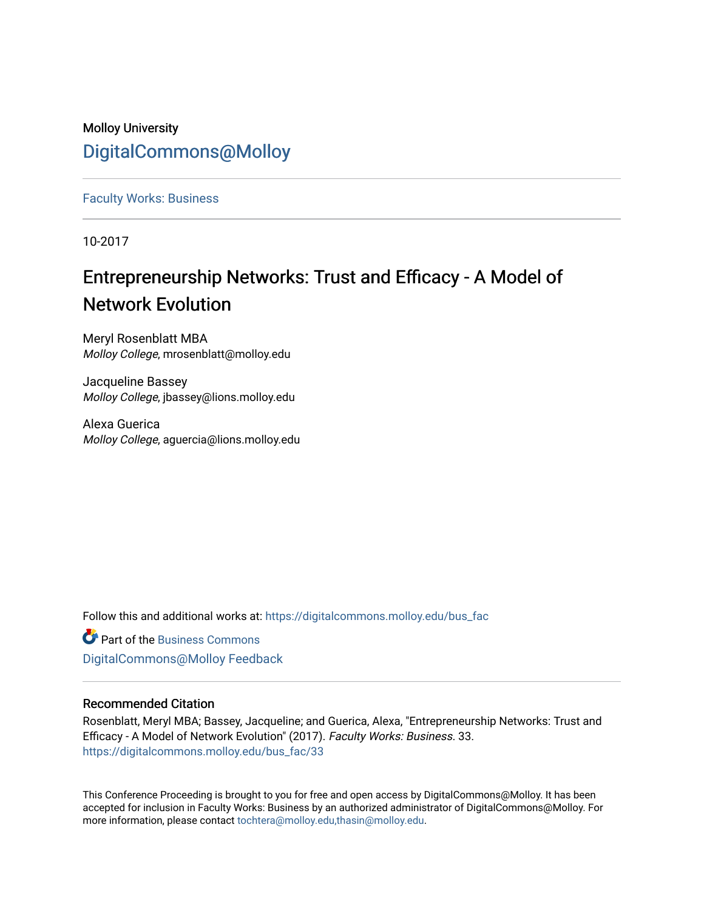## Molloy University [DigitalCommons@Molloy](https://digitalcommons.molloy.edu/)

[Faculty Works: Business](https://digitalcommons.molloy.edu/bus_fac) 

10-2017

# Entrepreneurship Networks: Trust and Efficacy - A Model of Network Evolution

Meryl Rosenblatt MBA Molloy College, mrosenblatt@molloy.edu

Jacqueline Bassey Molloy College, jbassey@lions.molloy.edu

Alexa Guerica Molloy College, aguercia@lions.molloy.edu

Follow this and additional works at: [https://digitalcommons.molloy.edu/bus\\_fac](https://digitalcommons.molloy.edu/bus_fac?utm_source=digitalcommons.molloy.edu%2Fbus_fac%2F33&utm_medium=PDF&utm_campaign=PDFCoverPages)

**C** Part of the [Business Commons](https://network.bepress.com/hgg/discipline/622?utm_source=digitalcommons.molloy.edu%2Fbus_fac%2F33&utm_medium=PDF&utm_campaign=PDFCoverPages) [DigitalCommons@Molloy Feedback](https://molloy.libwizard.com/f/dcfeedback)

### Recommended Citation

Rosenblatt, Meryl MBA; Bassey, Jacqueline; and Guerica, Alexa, "Entrepreneurship Networks: Trust and Efficacy - A Model of Network Evolution" (2017). Faculty Works: Business. 33. [https://digitalcommons.molloy.edu/bus\\_fac/33](https://digitalcommons.molloy.edu/bus_fac/33?utm_source=digitalcommons.molloy.edu%2Fbus_fac%2F33&utm_medium=PDF&utm_campaign=PDFCoverPages) 

This Conference Proceeding is brought to you for free and open access by DigitalCommons@Molloy. It has been accepted for inclusion in Faculty Works: Business by an authorized administrator of DigitalCommons@Molloy. For more information, please contact [tochtera@molloy.edu,thasin@molloy.edu.](mailto:tochtera@molloy.edu,thasin@molloy.edu)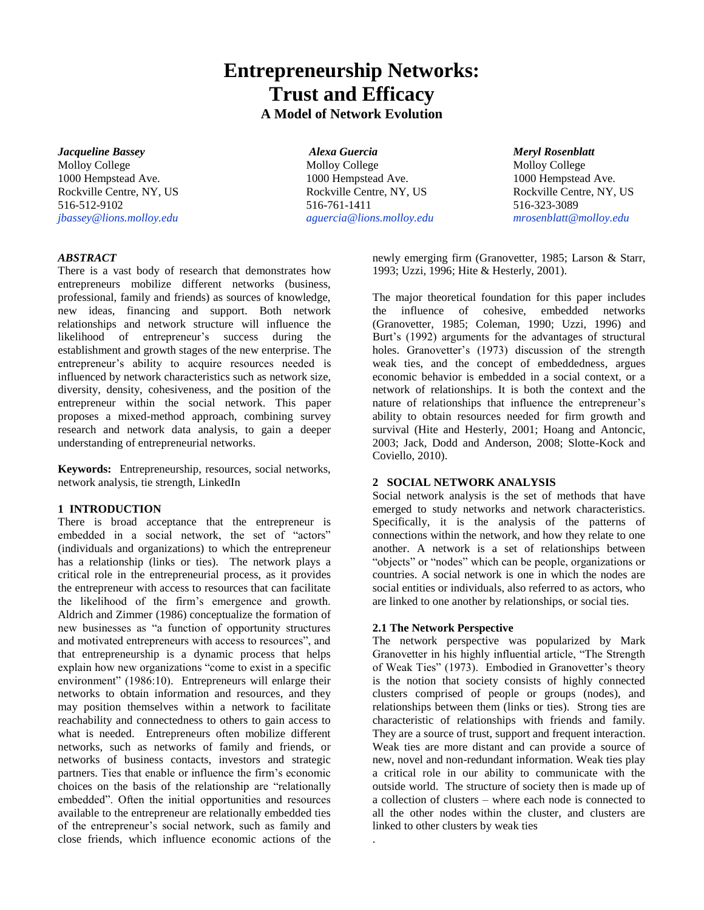## **Entrepreneurship Networks: Trust and Efficacy A Model of Network Evolution**

*Jacqueline Bassey Alexa Guercia Meryl Rosenblatt* Molloy College Molloy College Molloy College Molloy College Molloy College Molloy College Molloy College Mollo 1000 Hempstead Ave. 1000 Hempstead Ave. 1000 Hempstead Ave. Rockville Centre, NY, US Rockville Centre, NY, US Rockville Centre, NY, US 516-512-9102 516-761-1411 516-323-3089 *[jbassey@lions.molloy.edu](mailto:jbassey@lions.molloy.edu) [aguercia@lions.molloy.edu](mailto:aguercia@lions.molloy.edu) mrosenblatt@molloy.edu*

#### *ABSTRACT*

There is a vast body of research that demonstrates how entrepreneurs mobilize different networks (business, professional, family and friends) as sources of knowledge, new ideas, financing and support. Both network relationships and network structure will influence the likelihood of entrepreneur's success during the establishment and growth stages of the new enterprise. The entrepreneur's ability to acquire resources needed is influenced by network characteristics such as network size, diversity, density, cohesiveness, and the position of the entrepreneur within the social network. This paper proposes a mixed-method approach, combining survey research and network data analysis, to gain a deeper understanding of entrepreneurial networks.

**Keywords:** Entrepreneurship, resources, social networks, network analysis, tie strength, LinkedIn

#### **1 INTRODUCTION**

There is broad acceptance that the entrepreneur is embedded in a social network, the set of "actors" (individuals and organizations) to which the entrepreneur has a relationship (links or ties). The network plays a critical role in the entrepreneurial process, as it provides the entrepreneur with access to resources that can facilitate the likelihood of the firm's emergence and growth. Aldrich and Zimmer (1986) conceptualize the formation of new businesses as "a function of opportunity structures and motivated entrepreneurs with access to resources", and that entrepreneurship is a dynamic process that helps explain how new organizations "come to exist in a specific environment" (1986:10). Entrepreneurs will enlarge their networks to obtain information and resources, and they may position themselves within a network to facilitate reachability and connectedness to others to gain access to what is needed. Entrepreneurs often mobilize different networks, such as networks of family and friends, or networks of business contacts, investors and strategic partners. Ties that enable or influence the firm's economic choices on the basis of the relationship are "relationally embedded". Often the initial opportunities and resources available to the entrepreneur are relationally embedded ties of the entrepreneur's social network, such as family and close friends, which influence economic actions of the

newly emerging firm (Granovetter, 1985; Larson & Starr, 1993; Uzzi, 1996; Hite & Hesterly, 2001).

The major theoretical foundation for this paper includes the influence of cohesive, embedded networks (Granovetter, 1985; Coleman, 1990; Uzzi, 1996) and Burt's (1992) arguments for the advantages of structural holes. Granovetter's (1973) discussion of the strength weak ties, and the concept of embeddedness, argues economic behavior is embedded in a social context, or a network of relationships. It is both the context and the nature of relationships that influence the entrepreneur's ability to obtain resources needed for firm growth and survival (Hite and Hesterly, 2001; Hoang and Antoncic, 2003; Jack, Dodd and Anderson, 2008; Slotte-Kock and Coviello, 2010).

#### **2 SOCIAL NETWORK ANALYSIS**

Social network analysis is the set of methods that have emerged to study networks and network characteristics. Specifically, it is the analysis of the patterns of connections within the network, and how they relate to one another. A network is a set of relationships between "objects" or "nodes" which can be people, organizations or countries. A social network is one in which the nodes are social entities or individuals, also referred to as actors, who are linked to one another by relationships, or social ties.

#### **2.1 The Network Perspective**

.

The network perspective was popularized by Mark Granovetter in his highly influential article, "The Strength of Weak Ties" (1973). Embodied in Granovetter's theory is the notion that society consists of highly connected clusters comprised of people or groups (nodes), and relationships between them (links or ties). Strong ties are characteristic of relationships with friends and family. They are a source of trust, support and frequent interaction. Weak ties are more distant and can provide a source of new, novel and non-redundant information. Weak ties play a critical role in our ability to communicate with the outside world. The structure of society then is made up of a collection of clusters – where each node is connected to all the other nodes within the cluster, and clusters are linked to other clusters by weak ties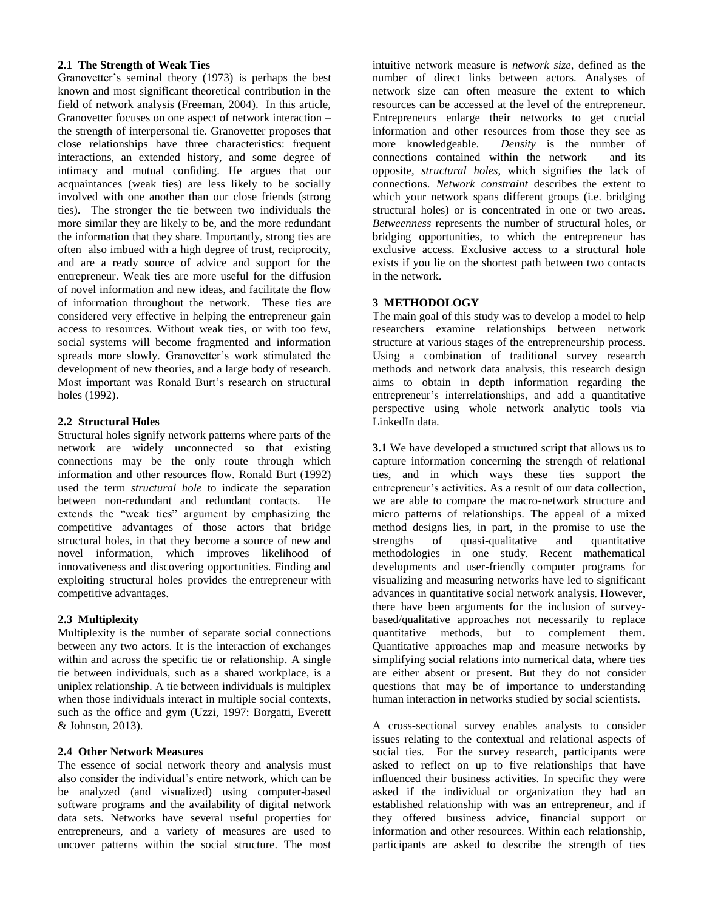#### **2.1 The Strength of Weak Ties**

Granovetter's seminal theory (1973) is perhaps the best known and most significant theoretical contribution in the field of network analysis (Freeman, 2004). In this article, Granovetter focuses on one aspect of network interaction – the strength of interpersonal tie. Granovetter proposes that close relationships have three characteristics: frequent interactions, an extended history, and some degree of intimacy and mutual confiding. He argues that our acquaintances (weak ties) are less likely to be socially involved with one another than our close friends (strong ties). The stronger the tie between two individuals the more similar they are likely to be, and the more redundant the information that they share. Importantly, strong ties are often also imbued with a high degree of trust, reciprocity, and are a ready source of advice and support for the entrepreneur. Weak ties are more useful for the diffusion of novel information and new ideas, and facilitate the flow of information throughout the network. These ties are considered very effective in helping the entrepreneur gain access to resources. Without weak ties, or with too few, social systems will become fragmented and information spreads more slowly. Granovetter's work stimulated the development of new theories, and a large body of research. Most important was Ronald Burt's research on structural holes (1992).

#### **2.2 Structural Holes**

Structural holes signify network patterns where parts of the network are widely unconnected so that existing connections may be the only route through which information and other resources flow. Ronald Burt (1992) used the term *structural hole* to indicate the separation between non-redundant and redundant contacts. He extends the "weak ties" argument by emphasizing the competitive advantages of those actors that bridge structural holes, in that they become a source of new and novel information, which improves likelihood of innovativeness and discovering opportunities. Finding and exploiting structural holes provides the entrepreneur with competitive advantages.

#### **2.3 Multiplexity**

Multiplexity is the number of separate social connections between any two actors. It is the interaction of exchanges within and across the specific tie or relationship. A single tie between individuals, such as a shared workplace, is a uniplex relationship. A tie between individuals is multiplex when those individuals interact in multiple social contexts, such as the office and gym (Uzzi, 1997: Borgatti, Everett & Johnson, 2013).

#### **2.4 Other Network Measures**

The essence of social network theory and analysis must also consider the individual's entire network, which can be be analyzed (and visualized) using computer-based software programs and the availability of digital network data sets. Networks have several useful properties for entrepreneurs, and a variety of measures are used to uncover patterns within the social structure. The most

intuitive network measure is *network size*, defined as the number of direct links between actors. Analyses of network size can often measure the extent to which resources can be accessed at the level of the entrepreneur. Entrepreneurs enlarge their networks to get crucial information and other resources from those they see as more knowledgeable. *Density* is the number of connections contained within the network – and its opposite, *structural holes*, which signifies the lack of connections. *Network constraint* describes the extent to which your network spans different groups (i.e. bridging structural holes) or is concentrated in one or two areas. *Betweenness* represents the number of structural holes, or bridging opportunities, to which the entrepreneur has exclusive access. Exclusive access to a structural hole exists if you lie on the shortest path between two contacts in the network.

#### **3 METHODOLOGY**

The main goal of this study was to develop a model to help researchers examine relationships between network structure at various stages of the entrepreneurship process. Using a combination of traditional survey research methods and network data analysis, this research design aims to obtain in depth information regarding the entrepreneur's interrelationships, and add a quantitative perspective using whole network analytic tools via LinkedIn data.

**3.1** We have developed a structured script that allows us to capture information concerning the strength of relational ties, and in which ways these ties support the entrepreneur's activities. As a result of our data collection, we are able to compare the macro-network structure and micro patterns of relationships. The appeal of a mixed method designs lies, in part, in the promise to use the strengths of quasi-qualitative and quantitative methodologies in one study. Recent mathematical developments and user-friendly computer programs for visualizing and measuring networks have led to significant advances in quantitative social network analysis. However, there have been arguments for the inclusion of surveybased/qualitative approaches not necessarily to replace quantitative methods, but to complement them. Quantitative approaches map and measure networks by simplifying social relations into numerical data, where ties are either absent or present. But they do not consider questions that may be of importance to understanding human interaction in networks studied by social scientists.

A cross-sectional survey enables analysts to consider issues relating to the contextual and relational aspects of social ties. For the survey research, participants were asked to reflect on up to five relationships that have influenced their business activities. In specific they were asked if the individual or organization they had an established relationship with was an entrepreneur, and if they offered business advice, financial support or information and other resources. Within each relationship, participants are asked to describe the strength of ties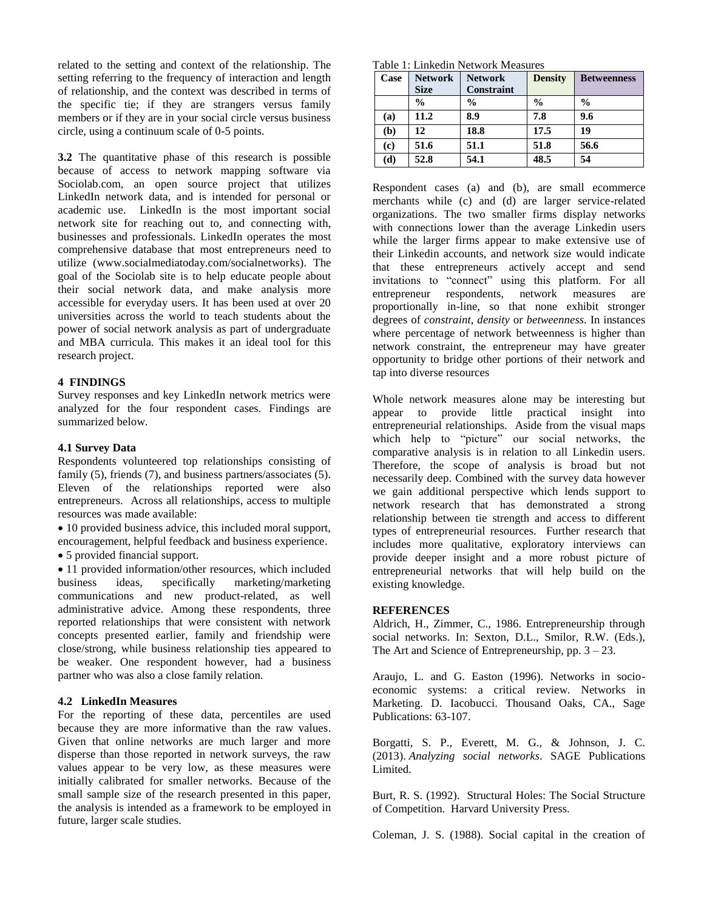related to the setting and context of the relationship. The setting referring to the frequency of interaction and length of relationship, and the context was described in terms of the specific tie; if they are strangers versus family members or if they are in your social circle versus business circle, using a continuum scale of 0-5 points.

**3.2** The quantitative phase of this research is possible because of access to network mapping software via Sociolab.com, an open source project that utilizes LinkedIn network data, and is intended for personal or academic use. LinkedIn is the most important social network site for reaching out to, and connecting with, businesses and professionals. LinkedIn operates the most comprehensive database that most entrepreneurs need to utilize (www.socialmediatoday.com/socialnetworks). The goal of the Sociolab site is to help educate people about their social network data, and make analysis more accessible for everyday users. It has been used at over 20 universities across the world to teach students about the power of social network analysis as part of undergraduate and MBA curricula. This makes it an ideal tool for this research project.

#### **4 FINDINGS**

Survey responses and key LinkedIn network metrics were analyzed for the four respondent cases. Findings are summarized below.

#### **4.1 Survey Data**

Respondents volunteered top relationships consisting of family (5), friends (7), and business partners/associates (5). Eleven of the relationships reported were also entrepreneurs. Across all relationships, access to multiple resources was made available:

• 10 provided business advice, this included moral support, encouragement, helpful feedback and business experience.

• 5 provided financial support.

• 11 provided information/other resources, which included business ideas, specifically marketing/marketing communications and new product-related, as well administrative advice. Among these respondents, three reported relationships that were consistent with network concepts presented earlier, family and friendship were close/strong, while business relationship ties appeared to be weaker. One respondent however, had a business partner who was also a close family relation.

#### **4.2 LinkedIn Measures**

For the reporting of these data, percentiles are used because they are more informative than the raw values. Given that online networks are much larger and more disperse than those reported in network surveys, the raw values appear to be very low, as these measures were initially calibrated for smaller networks. Because of the small sample size of the research presented in this paper, the analysis is intended as a framework to be employed in future, larger scale studies.

| Case | <b>Network</b><br><b>Size</b> | <b>Network</b><br><b>Constraint</b> | <b>Density</b> | <b>Betweenness</b> |
|------|-------------------------------|-------------------------------------|----------------|--------------------|
|      | $\frac{0}{0}$                 | $\frac{0}{0}$                       | $\frac{0}{0}$  | $\frac{0}{0}$      |
| (a)  | 11.2                          | 8.9                                 | 7.8            | 9.6                |
| (b)  | 12                            | 18.8                                | 17.5           | 19                 |
| (c)  | 51.6                          | 51.1                                | 51.8           | 56.6               |
| (d)  | 52.8                          | 54.1                                | 48.5           | 54                 |

Respondent cases (a) and (b), are small ecommerce merchants while (c) and (d) are larger service-related organizations. The two smaller firms display networks with connections lower than the average Linkedin users while the larger firms appear to make extensive use of their Linkedin accounts, and network size would indicate that these entrepreneurs actively accept and send invitations to "connect" using this platform. For all entrepreneur respondents, network measures are proportionally in-line, so that none exhibit stronger degrees of *constraint*, *density* or *betweenness*. In instances where percentage of network betweenness is higher than network constraint, the entrepreneur may have greater opportunity to bridge other portions of their network and tap into diverse resources

Whole network measures alone may be interesting but appear to provide little practical insight into entrepreneurial relationships. Aside from the visual maps which help to "picture" our social networks, the comparative analysis is in relation to all Linkedin users. Therefore, the scope of analysis is broad but not necessarily deep. Combined with the survey data however we gain additional perspective which lends support to network research that has demonstrated a strong relationship between tie strength and access to different types of entrepreneurial resources. Further research that includes more qualitative, exploratory interviews can provide deeper insight and a more robust picture of entrepreneurial networks that will help build on the existing knowledge.

#### **REFERENCES**

Aldrich, H., Zimmer, C., 1986. Entrepreneurship through social networks. In: Sexton, D.L., Smilor, R.W. (Eds.), The Art and Science of Entrepreneurship, pp.  $3 - 23$ .

Araujo, L. and G. Easton (1996). Networks in socioeconomic systems: a critical review. Networks in Marketing. D. Iacobucci. Thousand Oaks, CA., Sage Publications: 63-107.

Borgatti, S. P., Everett, M. G., & Johnson, J. C. (2013). *Analyzing social networks*. SAGE Publications Limited.

Burt, R. S. (1992). Structural Holes: The Social Structure of Competition. Harvard University Press.

Coleman, J. S. (1988). Social capital in the creation of